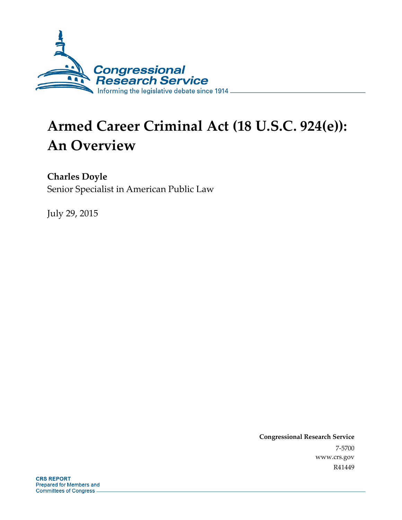

# **Armed Career Criminal Act (18 U.S.C. 924(e)): An Overview**

**Charles Doyle** 

Senior Specialist in American Public Law

July 29, 2015

**Congressional Research Service**  7-5700 www.crs.gov R41449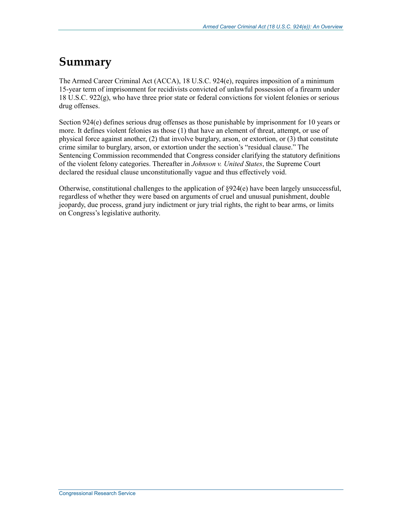## **Summary**

The Armed Career Criminal Act (ACCA), 18 U.S.C. 924(e), requires imposition of a minimum 15-year term of imprisonment for recidivists convicted of unlawful possession of a firearm under 18 U.S.C. 922(g), who have three prior state or federal convictions for violent felonies or serious drug offenses.

Section 924(e) defines serious drug offenses as those punishable by imprisonment for 10 years or more. It defines violent felonies as those (1) that have an element of threat, attempt, or use of physical force against another, (2) that involve burglary, arson, or extortion, or (3) that constitute crime similar to burglary, arson, or extortion under the section's "residual clause." The Sentencing Commission recommended that Congress consider clarifying the statutory definitions of the violent felony categories. Thereafter in *Johnson v. United States*, the Supreme Court declared the residual clause unconstitutionally vague and thus effectively void.

Otherwise, constitutional challenges to the application of §924(e) have been largely unsuccessful, regardless of whether they were based on arguments of cruel and unusual punishment, double jeopardy, due process, grand jury indictment or jury trial rights, the right to bear arms, or limits on Congress's legislative authority.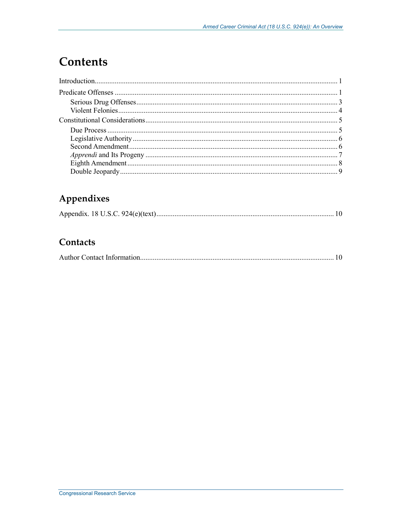# Contents

### Appendixes

|--|--|

### Contacts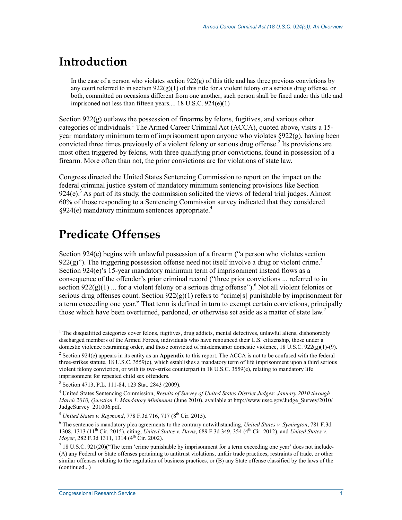### **Introduction**

In the case of a person who violates section  $922(g)$  of this title and has three previous convictions by any court referred to in section  $922(g)(1)$  of this title for a violent felony or a serious drug offense, or both, committed on occasions different from one another, such person shall be fined under this title and imprisoned not less than fifteen years.... 18 U.S.C. 924(e)(1)

Section 922(g) outlaws the possession of firearms by felons, fugitives, and various other categories of individuals.<sup>1</sup> The Armed Career Criminal Act (ACCA), quoted above, visits a 15year mandatory minimum term of imprisonment upon anyone who violates §922(g), having been convicted three times previously of a violent felony or serious drug offense.<sup>2</sup> Its provisions are most often triggered by felons, with three qualifying prior convictions, found in possession of a firearm. More often than not, the prior convictions are for violations of state law.

Congress directed the United States Sentencing Commission to report on the impact on the federal criminal justice system of mandatory minimum sentencing provisions like Section  $924(e)$ .<sup>3</sup> As part of its study, the commission solicited the views of federal trial judges. Almost 60% of those responding to a Sentencing Commission survey indicated that they considered §924(e) mandatory minimum sentences appropriate.<sup>4</sup>

### **Predicate Offenses**

1

Section 924(e) begins with unlawful possession of a firearm ("a person who violates section  $922(g)$ "). The triggering possession offense need not itself involve a drug or violent crime.<sup>5</sup> Section 924(e)'s 15-year mandatory minimum term of imprisonment instead flows as a consequence of the offender's prior criminal record ("three prior convictions ... referred to in section  $922(g)(1)$  ... for a violent felony or a serious drug offense"). <sup>6</sup> Not all violent felonies or serious drug offenses count. Section  $922(g)(1)$  refers to "crime[s] punishable by imprisonment for a term exceeding one year." That term is defined in turn to exempt certain convictions, principally those which have been overturned, pardoned, or otherwise set aside as a matter of state law.<sup>7</sup>

 $<sup>1</sup>$  The disqualified categories cover felons, fugitives, drug addicts, mental defectives, unlawful aliens, dishonorably</sup> discharged members of the Armed Forces, individuals who have renounced their U.S. citizenship, those under a domestic violence restraining order, and those convicted of misdemeanor domestic violence, 18 U.S.C. 922(g)(1)-(9).

<sup>2</sup> Section 924(e) appears in its entity as an **Appendix** to this report. The ACCA is not to be confused with the federal three-strikes statute, 18 U.S.C. 3559(c), which establishes a mandatory term of life imprisonment upon a third serious violent felony conviction, or with its two-strike counterpart in 18 U.S.C. 3559(e), relating to mandatory life imprisonment for repeated child sex offenders.

<sup>3</sup> Section 4713, P.L. 111-84, 123 Stat. 2843 (2009).

<sup>4</sup> United States Sentencing Commission, *Results of Survey of United States District Judges: January 2010 through March 2010, Question 1. Mandatory Minimums* (June 2010), available at http://www.ussc.gov/Judge\_Survey/2010/ JudgeSurvey\_201006.pdf.

 $5$  *United States v. Raymond, 778 F.3d 716, 717 (8<sup>th</sup> Cir. 2015).* 

<sup>6</sup> The sentence is mandatory plea agreements to the contrary notwithstanding, *United States v. Symington*, 781 F.3d 1308, 1313 (11th Cir. 2015), citing, *United States v. Davis*, 689 F.3d 349, 354 (4th Cir. 2012), and *United States v. Moyer*, 282 F.3d 1311, 1314 (4<sup>th</sup> Cir. 2002).

<sup>&</sup>lt;sup>7</sup> 18 U.S.C. 921(20)("The term 'crime punishable by imprisonment for a term exceeding one year' does not include-(A) any Federal or State offenses pertaining to antitrust violations, unfair trade practices, restraints of trade, or other similar offenses relating to the regulation of business practices, or (B) any State offense classified by the laws of the (continued...)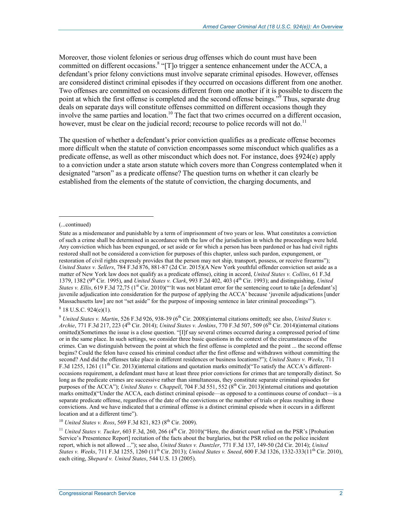Moreover, those violent felonies or serious drug offenses which do count must have been committed on different occasions.<sup>8</sup> "[T]o trigger a sentence enhancement under the ACCA, a defendant's prior felony convictions must involve separate criminal episodes. However, offenses are considered distinct criminal episodes if they occurred on occasions different from one another. Two offenses are committed on occasions different from one another if it is possible to discern the point at which the first offense is completed and the second offense beings.<sup>39</sup> Thus, separate drug deals on separate days will constitute offenses committed on different occasions though they involve the same parties and location.<sup>10</sup> The fact that two crimes occurred on a different occasion, however, must be clear on the judicial record; recourse to police records will not do.<sup>11</sup>

The question of whether a defendant's prior conviction qualifies as a predicate offense becomes more difficult when the statute of conviction encompasses some misconduct which qualifies as a predicate offense, as well as other misconduct which does not. For instance, does §924(e) apply to a conviction under a state arson statute which covers more than Congress contemplated when it designated "arson" as a predicate offense? The question turns on whether it can clearly be established from the elements of the statute of conviction, the charging documents, and

 $\overline{a}$ 

<sup>10</sup> *United States v. Ross*, 569 F.3d 821, 823 (8<sup>th</sup> Cir. 2009).

<sup>(...</sup>continued)

State as a misdemeanor and punishable by a term of imprisonment of two years or less. What constitutes a conviction of such a crime shall be determined in accordance with the law of the jurisdiction in which the proceedings were held. Any conviction which has been expunged, or set aside or for which a person has been pardoned or has had civil rights restored shall not be considered a conviction for purposes of this chapter, unless such pardon, expungement, or restoration of civil rights expressly provides that the person may not ship, transport, possess, or receive firearms"); *United States v. Sellers*, 784 F.3d 876, 881-87 (2d Cir. 2015)(A New York youthful offender conviction set aside as a matter of New York law does not qualify as a predicate offense), citing in accord, *United States v. Collins*, 61 F.3d 1379, 1382 (9th Cir. 1995), and *United States v. Clark*, 993 F.2d 402, 403 (4th Cir. 1993); and distinguishing, *United States v. Ellis*, 619 F.3d 72,75 (1<sup>st</sup> Cir. 2010)("It was not blatant error for the sentencing court to take [a defendant's] juvenile adjudication into consideration for the purpose of applying the ACCA' because 'juvenile adjudications [under Massachusetts law] are not "set aside" for the purpose of imposing sentence in later criminal proceedings'").

 $8$  18 U.S.C. 924(e)(1).

<sup>&</sup>lt;sup>9</sup> *United States v. Martin*, 526 F.3d 926, 938-39 (6<sup>th</sup> Cir. 2008)(internal citations omitted); see also, *United States v. Archie*, 771 F.3d 217, 223 (4th Cir. 2014); *United States v. Jenkins*, 770 F.3d 507, 509 (6th Cir. 2014)(internal citations omitted)(Sometimes the issue is a close question. "[I]f say several crimes occurred during a compressed period of time or in the same place. In such settings, we consider three basic questions in the context of the circumstances of the crimes. Can we distinguish between the point at which the first offense is completed and the point ... the second offense begins? Could the felon have ceased his criminal conduct after the first offense and withdrawn without committing the second? And did the offenses take place in different residences or business locations?"); *United States v. Weeks*, 711 F.3d 1255, 1261 (11<sup>th</sup> Cir. 2013)(internal citations and quotation marks omitted)("To satisfy the ACCA's differentoccasions requirement, a defendant must have at least three prior convictions for crimes that are temporally distinct. So long as the predicate crimes are successive rather than simultaneous, they constitute separate criminal episodes for purposes of the ACCA"); *United States v. Chappell*, 704 F.3d 551, 552 ( $8<sup>th</sup>$ Cir. 2013)(internal citations and quotation marks omitted)("Under the ACCA, each distinct criminal episode—as opposed to a continuous course of conduct—is a separate predicate offense, regardless of the date of the convictions or the number of trials or pleas resulting in those convictions. And we have indicated that a criminal offense is a distinct criminal episode when it occurs in a different location and at a different time").

<sup>&</sup>lt;sup>11</sup> *United States v. Tucker*, 603 F.3d, 260, 266 (4<sup>th</sup> Cir. 2010)("Here, the district court relied on the PSR's [Probation Service's Presentence Report] recitation of the facts about the burglaries, but the PSR relied on the police incident report, which is not allowed ..."); see also, *United States v. Dantzler*, 771 F.3d 137, 149-50 (2d Cir. 2014); *United States v. Weeks*, 711 F.3d 1255, 1260 (11<sup>th</sup> Cir. 2013); *United States v. Sneed*, 600 F.3d 1326, 1332-333(11<sup>th</sup> Cir. 2010), each citing, *Shepard v. United States*, 544 U.S. 13 (2005).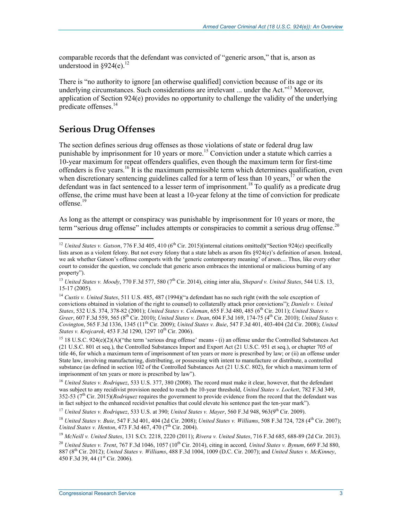comparable records that the defendant was convicted of "generic arson," that is, arson as understood in  $§924(e).$ <sup>12</sup>

There is "no authority to ignore [an otherwise qualified] conviction because of its age or its underlying circumstances. Such considerations are irrelevant ... under the Act."<sup>13</sup> Moreover, application of Section 924(e) provides no opportunity to challenge the validity of the underlying predicate offenses.14

### **Serious Drug Offenses**

1

The section defines serious drug offenses as those violations of state or federal drug law punishable by imprisonment for 10 years or more.<sup>15</sup> Conviction under a statute which carries a 10-year maximum for repeat offenders qualifies, even though the maximum term for first-time offenders is five years.<sup>16</sup> It is the maximum permissible term which determines qualification, even when discretionary sentencing guidelines called for a term of less than 10 years,  $17$  or when the defendant was in fact sentenced to a lesser term of imprisonment.<sup>18</sup> To qualify as a predicate drug offense, the crime must have been at least a 10-year felony at the time of conviction for predicate offense.<sup>19</sup>

As long as the attempt or conspiracy was punishable by imprisonment for 10 years or more, the term "serious drug offense" includes attempts or conspiracies to commit a serious drug offense.<sup>20</sup>

<sup>&</sup>lt;sup>12</sup> *United States v. Gatson*, 776 F.3d 405, 410 (6<sup>th</sup> Cir. 2015)(internal citations omitted)("Section 924(e) specifically lists arson as a violent felony. But not every felony that a state labels as arson fits §924(e)'s definition of arson. Instead, we ask whether Gatson's offense comports with the 'generic contemporary meaning' of arson.... Thus, like every other court to consider the question, we conclude that generic arson embraces the intentional or malicious burning of any property").

<sup>&</sup>lt;sup>13</sup> *United States v. Moody*, 770 F.3d 577, 580 (7<sup>th</sup> Cir. 2014), citing inter alia, *Shepard v. United States*, 544 U.S. 13, 15-17 (2005).

<sup>&</sup>lt;sup>14</sup> *Custis v. United States*, 511 U.S. 485, 487 (1994)("a defendant has no such right (with the sole exception of convictions obtained in violation of the right to counsel) to collaterally attack prior convictions"); *Daniels v. United States*, 532 U.S. 374, 378-82 (2001); *United States v. Coleman*, 655 F.3d 480, 485 (6th Cir. 2011); *United States v. Greer*, 607 F.3d 559, 565 (8th Cir. 2010); *United States v. Dean*, 604 F.3d 169, 174-75 (4th Cir. 2010); *United States v. Covington*, 565 F.3d 1336, 1345 (11<sup>th</sup> Cir. 2009); *United States v. Buie*, 547 F.3d 401, 403-404 (2d Cir. 2008); *United States v. Krejcarek*, 453 F.3d 1290, 1297 10<sup>th</sup> Cir. 2006).

<sup>&</sup>lt;sup>15</sup> 18 U.S.C. 924(e)(2)(A)("the term 'serious drug offense' means - (i) an offense under the Controlled Substances Act (21 U.S.C. 801 et seq.), the Controlled Substances Import and Export Act (21 U.S.C. 951 et seq.), or chapter 705 of title 46, for which a maximum term of imprisonment of ten years or more is prescribed by law; or (ii) an offense under State law, involving manufacturing, distributing, or possessing with intent to manufacture or distribute, a controlled substance (as defined in section 102 of the Controlled Substances Act (21 U.S.C. 802), for which a maximum term of imprisonment of ten years or more is prescribed by law").

<sup>16</sup> *United States v. Rodriquez*, 533 U.S. 377, 380 (2008). The record must make it clear, however, that the defendant was subject to any recidivist provision needed to reach the 10-year threshold, *United States v. Lockett*, 782 F.3d 349, 352-53 (7th Cir. 2015)(*Rodriquez* requires the government to provide evidence from the record that the defendant was in fact subject to the enhanced recidivist penalties that could elevate his sentence past the ten-year mark").

<sup>&</sup>lt;sup>17</sup> *United States v. Rodriquez*, 533 U.S. at 390; *United States v. Mayer*, 560 F.3d 948, 963(9<sup>th</sup> Cir. 2009).

<sup>18</sup> *United States v. Buie*, 547 F.3d 401, 404 (2d Cir. 2008); *United States v. Williams*, 508 F.3d 724, 728 (4th Cir. 2007); *United States v. Henton, 473 F.3d 467, 470 (7<sup>th</sup> Cir. 2004).* 

<sup>19</sup> *McNeill v. United States*, 131 S.Ct. 2218, 2220 (2011); *Rivera v. United States*, 716 F.3d 685, 688-89 (2d Cir. 2013).

<sup>&</sup>lt;sup>20</sup> *United States v. Trent*, 767 F.3d 1046, 1057 (10<sup>th</sup> Cir. 2014), citing in accord, *United States v. Bynum*, 669 F.3d 880, 887 (8th Cir. 2012); *United States v. Williams*, 488 F.3d 1004, 1009 (D.C. Cir. 2007); and *United States v. McKinney*, 450 F.3d 39, 44 ( $1<sup>st</sup>$  Cir. 2006).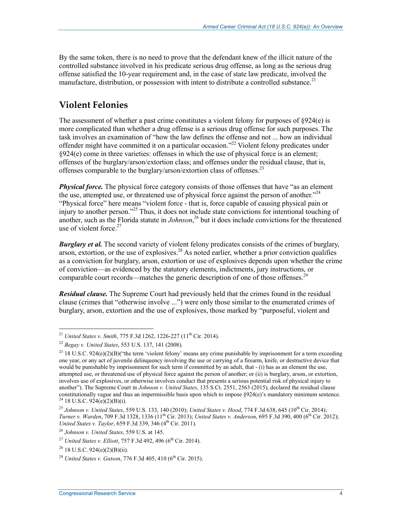By the same token, there is no need to prove that the defendant knew of the illicit nature of the controlled substance involved in his predicate serious drug offense, as long as the serious drug offense satisfied the 10-year requirement and, in the case of state law predicate, involved the manufacture, distribution, or possession with intent to distribute a controlled substance.<sup>21</sup>

### **Violent Felonies**

The assessment of whether a past crime constitutes a violent felony for purposes of  $\S 924(e)$  is more complicated than whether a drug offense is a serious drug offense for such purposes. The task involves an examination of "how the law defines the offense and not ... how an individual offender might have committed it on a particular occasion."<sup>22</sup> Violent felony predicates under §924(e) come in three varieties: offenses in which the use of physical force is an element; offenses of the burglary/arson/extortion class; and offenses under the residual clause, that is, offenses comparable to the burglary/arson/extortion class of offenses.<sup>23</sup>

*Physical force.* The physical force category consists of those offenses that have "as an element" the use, attempted use, or threatened use of physical force against the person of another."<sup>24</sup> "Physical force" here means "violent force - that is, force capable of causing physical pain or injury to another person."25 Thus, it does not include state convictions for intentional touching of another, such as the Florida statute in *Johnson*, 26 but it does include convictions for the threatened use of violent force. $27$ 

*Burglary et al.* The second variety of violent felony predicates consists of the crimes of burglary, arson, extortion, or the use of explosives.<sup>28</sup> As noted earlier, whether a prior conviction qualifies as a conviction for burglary, arson, extortion or use of explosives depends upon whether the crime of conviction—as evidenced by the statutory elements, indictments, jury instructions, or comparable court records—matches the generic description of one of those offenses.<sup>2</sup>

*Residual clause.* The Supreme Court had previously held that the crimes found in the residual clause (crimes that "otherwise involve ...") were only those similar to the enumerated crimes of burglary, arson, extortion and the use of explosives, those marked by "purposeful, violent and

<sup>&</sup>lt;sup>21</sup> *United States v. Smith, 775 F.3d 1262, 1226-227 (11<sup>th</sup> Cir. 2014).* 

<sup>22</sup> *Begay v. United States*, 553 U.S. 137, 141 (2008).

<sup>&</sup>lt;sup>23</sup> 18 U.S.C. 924(e)(2)(B)("the term 'violent felony' means any crime punishable by imprisonment for a term exceeding one year, or any act of juvenile delinquency involving the use or carrying of a firearm, knife, or destructive device that would be punishable by imprisonment for such term if committed by an adult, that - (i) has as an element the use, attempted use, or threatened use of physical force against the person of another; or (ii) is burglary, arson, or extortion, involves use of explosives, or otherwise involves conduct that presents a serious potential risk of physical injury to another"). The Supreme Court in *Johnson v. United States*, 135 S.Ct. 2551, 2563 (2015), declared the residual clause constitutionally vague and thus an impermissible basis upon which to impose  $\S924(e)$ 's mandatory minimum sentence.<br><sup>24</sup> 18 U.S.C. 924(e)(2)(B)(i).

<sup>25</sup> *Johnson v. United States*, 559 U.S. 133, 140 (2010); *United States v. Hood*, 774 F.3d 638, 645 (10th Cir. 2014); *Turner v. Warden*, 709 F.3d 1328, 1336 (11th Cir. 2013); *United States v. Anderson*, 695 F.3d 390, 400 (6th Cir. 2012); *United States v. Taylor*, 659 F.3d 339, 346 (4<sup>th</sup> Cir. 2011).

<sup>26</sup> *Johnson v. United States*, 559 U.S. at 145.

<sup>&</sup>lt;sup>27</sup> *United States v. Elliott*, 757 F.3d 492, 496 (6<sup>th</sup> Cir. 2014).

 $^{28}$  18 U.S.C. 924(e)(2)(B)(ii).

<sup>&</sup>lt;sup>29</sup> *United States v. Gatson, 776 F.3d 405, 410 (6<sup>th</sup> Cir. 2015).*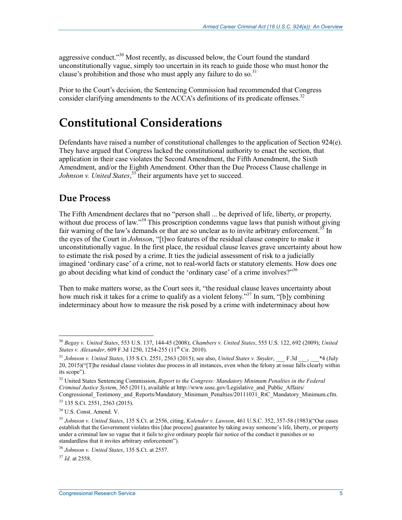aggressive conduct.<sup> $30$ </sup> Most recently, as discussed below, the Court found the standard unconstitutionally vague, simply too uncertain in its reach to guide those who must honor the clause's prohibition and those who must apply any failure to do so.<sup>31</sup>

Prior to the Court's decision, the Sentencing Commission had recommended that Congress consider clarifying amendments to the  $ACCA$ 's definitions of its predicate offenses.<sup>32</sup>

### **Constitutional Considerations**

Defendants have raised a number of constitutional challenges to the application of Section 924(e). They have argued that Congress lacked the constitutional authority to enact the section, that application in their case violates the Second Amendment, the Fifth Amendment, the Sixth Amendment, and/or the Eighth Amendment. Other than the Due Process Clause challenge in *Johnson v. United States*, 33 their arguments have yet to succeed.

#### **Due Process**

The Fifth Amendment declares that no "person shall ... be deprived of life, liberty, or property, without due process of law."<sup>34</sup> This proscription condemns vague laws that punish without giving fair warning of the law's demands or that are so unclear as to invite arbitrary enforcement.<sup>35</sup> In the eyes of the Court in *Johnson*, "[t]wo features of the residual clause conspire to make it unconstitutionally vague. In the first place, the residual clause leaves grave uncertainty about how to estimate the risk posed by a crime. It ties the judicial assessment of risk to a judicially imagined 'ordinary case' of a crime, not to real-world facts or statutory elements. How does one go about deciding what kind of conduct the 'ordinary case' of a crime involves?"36

Then to make matters worse, as the Court sees it, "the residual clause leaves uncertainty about how much risk it takes for a crime to qualify as a violent felony."<sup>37</sup> In sum, "[b]y combining indeterminacy about how to measure the risk posed by a crime with indeterminacy about how

<u>.</u>

<sup>30</sup> *Begay v. United States*, 553 U.S. 137, 144-45 (2008); *Chambers v. United States*, 555 U.S. 122, 692 (2009); *United States v. Alexander*, 609 F.3d 1250, 1254-255 (11<sup>th</sup> Cir. 2010).

<sup>&</sup>lt;sup>31</sup> *Johnson v. United States*, 135 S.Ct. 2551, 2563 (2015); see also, *United States v. Snyder*, F.3d , \*4 (July 20, 2015)("[T]he residual clause violates due process in all instances, even when the felony at issue falls clearly within its scope").

<sup>32</sup> United States Sentencing Commission, *Report to the Congress: Mandatory Minimum Penalties in the Federal Criminal Justice System*, 365 (2011), available at http://www.ussc.gov/Legislative\_and\_Public\_Affairs/ Congressional\_Testimony\_and\_Reports/Mandatory\_Minimum\_Penalties/20111031\_RtC\_Mandatory\_Minimum.cfm.

<sup>33 135</sup> S.Ct. 2551, 2563 (2015).

<sup>34</sup> U.S. Const. Amend. V.

<sup>35</sup> *Johnson v. United States*, 135 S.Ct. at 2556, citing, *Kolender v. Lawson*, 461 U.S.C. 352, 357-58 (1983)("Our cases establish that the Government violates this [due process] guarantee by taking away someone's life, liberty, or property under a criminal law so vague that it fails to give ordinary people fair notice of the conduct it punishes or so standardless that it invites arbitrary enforcement").

<sup>36</sup> *Johnson v. United States*, 135 S.Ct. at 2557.

<sup>37</sup> *Id.* at 2558.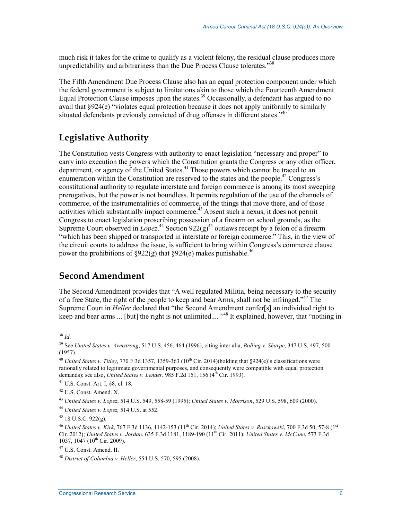much risk it takes for the crime to qualify as a violent felony, the residual clause produces more unpredictability and arbitrariness than the Due Process Clause tolerates."<sup>38</sup>

The Fifth Amendment Due Process Clause also has an equal protection component under which the federal government is subject to limitations akin to those which the Fourteenth Amendment Equal Protection Clause imposes upon the states.<sup>39</sup> Occasionally, a defendant has argued to no avail that §924(e) "violates equal protection because it does not apply uniformly to similarly situated defendants previously convicted of drug offenses in different states.<sup> $40$ </sup>

#### **Legislative Authority**

The Constitution vests Congress with authority to enact legislation "necessary and proper" to carry into execution the powers which the Constitution grants the Congress or any other officer, department, or agency of the United States.<sup>41</sup> Those powers which cannot be traced to an enumeration within the Constitution are reserved to the states and the people.<sup>42</sup> Congress's constitutional authority to regulate interstate and foreign commerce is among its most sweeping prerogatives, but the power is not boundless. It permits regulation of the use of the channels of commerce, of the instrumentalities of commerce, of the things that move there, and of those activities which substantially impact commerce.<sup>43</sup> Absent such a nexus, it does not permit Congress to enact legislation proscribing possession of a firearm on school grounds, as the Supreme Court observed in  $L^{\circ}$  *Lopez*<sup>44</sup> Section 922(g)<sup>45</sup> outlaws receipt by a felon of a firearm "which has been shipped or transported in interstate or foreign commerce." This, in the view of the circuit courts to address the issue, is sufficient to bring within Congress's commerce clause power the prohibitions of §922(g) that §924(e) makes punishable.<sup>46</sup>

#### **Second Amendment**

The Second Amendment provides that "A well regulated Militia, being necessary to the security of a free State, the right of the people to keep and bear Arms, shall not be infringed."<sup>47</sup> The Supreme Court in *Heller* declared that "the Second Amendment confer[s] an individual right to keep and bear arms ... [but] the right is not unlimited.... "48 It explained, however, that "nothing in

<sup>&</sup>lt;u>.</u> <sup>38</sup> *Id*.

<sup>39</sup> See *United States v. Armstrong*, 517 U.S. 456, 464 (1996), citing inter alia, *Bolling v. Sharpe*, 347 U.S. 497, 500 (1957).

<sup>&</sup>lt;sup>40</sup> *United States v. Titley*, 770 F.3d 1357, 1359-363 (10<sup>th</sup> Cir. 2014)(holding that §924(e)'s classifications were rationally related to legitimate governmental purposes, and consequently were compatible with equal protection demands); see also, *United States v. Lender*, 985 F.2d 151, 156 (4<sup>th</sup> Cir. 1993).

<sup>41</sup> U.S. Const. Art. I, §8, cl. 18.

<sup>42</sup> U.S. Const. Amend. X.

<sup>43</sup> *United States v. Lopez*, 514 U.S. 549, 558-59 (1995); *United States v. Morrison*, 529 U.S. 598, 609 (2000).

<sup>44</sup> *United States v. Lopez,* 514 U.S. at 552.

 $45$  18 U.S.C. 922(g).

<sup>46</sup> *United States v. Kirk*, 767 F.3d 1136, 1142-153 (11th Cir. 2014); *United States v. Roszkowski*, 700 F.3d 50, 57-8 (1st Cir. 2012); *United States v. Jordan*, 635 F.3d 1181, 1189-190 (11th Cir. 2011); *United States v. McCane*, 573 F.3d 1037, 1047 (10<sup>th</sup> Cir. 2009).

<sup>47</sup> U.S. Const. Amend. II.

<sup>48</sup> *District of Columbia v. Heller*, 554 U.S. 570, 595 (2008).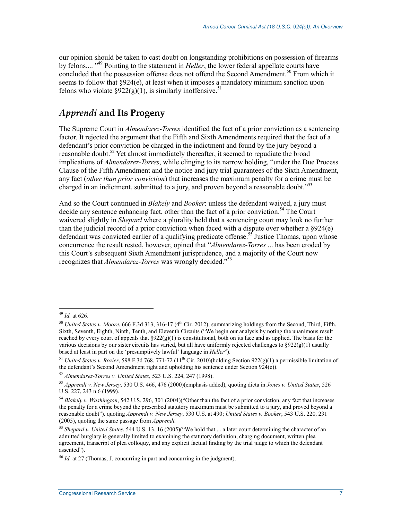our opinion should be taken to cast doubt on longstanding prohibitions on possession of firearms by felons.... <sup>"49</sup> Pointing to the statement in *Heller*, the lower federal appellate courts have concluded that the possession offense does not offend the Second Amendment.<sup>50</sup> From which it seems to follow that §924(e), at least when it imposes a mandatory minimum sanction upon felons who violate  $\S 922(g)(1)$ , is similarly inoffensive.<sup>51</sup>

#### *Apprendi* **and Its Progeny**

The Supreme Court in *Almendarez-Torres* identified the fact of a prior conviction as a sentencing factor. It rejected the argument that the Fifth and Sixth Amendments required that the fact of a defendant's prior conviction be charged in the indictment and found by the jury beyond a reasonable doubt.<sup>52</sup> Yet almost immediately thereafter, it seemed to repudiate the broad implications of *Almendarez-Torres*, while clinging to its narrow holding, "under the Due Process Clause of the Fifth Amendment and the notice and jury trial guarantees of the Sixth Amendment, any fact (*other than prior conviction*) that increases the maximum penalty for a crime must be charged in an indictment, submitted to a jury, and proven beyond a reasonable doubt."<sup>53</sup>

And so the Court continued in *Blakely* and *Booker*: unless the defendant waived, a jury must decide any sentence enhancing fact, other than the fact of a prior conviction.<sup>54</sup> The Court waivered slightly in *Shepard* where a plurality held that a sentencing court may look no further than the judicial record of a prior conviction when faced with a dispute over whether a §924(e) defendant was convicted earlier of a qualifying predicate offense.<sup>55</sup> Justice Thomas, upon whose concurrence the result rested, however, opined that "*Almendarez-Torres* ... has been eroded by this Court's subsequent Sixth Amendment jurisprudence, and a majority of the Court now recognizes that *Almendarez-Torres* was wrongly decided."56

<sup>49</sup> *Id.* at 626.

<sup>&</sup>lt;sup>50</sup> *United States v. Moore*, 666 F.3d 313, 316-17 (4<sup>th</sup> Cir. 2012), summarizing holdings from the Second, Third, Fifth, Sixth, Seventh, Eighth, Ninth, Tenth, and Eleventh Circuits ("We begin our analysis by noting the unanimous result reached by every court of appeals that  $\S 922(g)(1)$  is constitutional, both on its face and as applied. The basis for the various decisions by our sister circuits has varied, but all have uniformly rejected challenges to  $\S 922(g)(1)$  usually based at least in part on the 'presumptively lawful' language in *Heller*").

<sup>&</sup>lt;sup>51</sup> *United States v. Rozier*, 598 F.3d 768, 771-72 (11<sup>th</sup> Cir. 2010)(holding Section 922(g)(1) a permissible limitation of the defendant's Second Amendment right and upholding his sentence under Section 924(e)).

<sup>52</sup> *Almendarez-Torres v. United States*, 523 U.S. 224, 247 (1998).

<sup>53</sup> *Apprendi v. New Jersey*, 530 U.S. 466, 476 (2000)(emphasis added), quoting dicta in *Jones v. United States*, 526 U.S. 227, 243 n.6 (1999).

<sup>54</sup> *Blakely v. Washington*, 542 U.S. 296, 301 (2004)("Other than the fact of a prior conviction, any fact that increases the penalty for a crime beyond the prescribed statutory maximum must be submitted to a jury, and proved beyond a reasonable doubt")*,* quoting *Apprendi v. New Jersey*, 530 U.S. at 490; *United States v. Booker*, 543 U.S. 220, 231 (2005), quoting the same passage from *Apprendi.* 

<sup>55</sup> *Shepard v. United States*, 544 U.S. 13, 16 (2005)("We hold that ... a later court determining the character of an admitted burglary is generally limited to examining the statutory definition, charging document, written plea agreement, transcript of plea colloquy, and any explicit factual finding by the trial judge to which the defendant assented").

<sup>56</sup> *Id.* at 27 (Thomas, J. concurring in part and concurring in the judgment).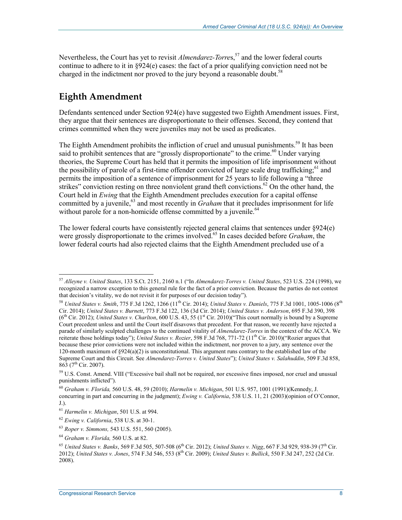Nevertheless, the Court has yet to revisit *Almendarez-Torres*,<sup>57</sup> and the lower federal courts continue to adhere to it in  $\frac{8924}{e}$  cases: the fact of a prior qualifying conviction need not be charged in the indictment nor proved to the jury beyond a reasonable doubt.<sup>58</sup>

### **Eighth Amendment**

Defendants sentenced under Section 924(e) have suggested two Eighth Amendment issues. First, they argue that their sentences are disproportionate to their offenses. Second, they contend that crimes committed when they were juveniles may not be used as predicates.

The Eighth Amendment prohibits the infliction of cruel and unusual punishments.<sup>59</sup> It has been said to prohibit sentences that are "grossly disproportionate" to the crime.<sup>60</sup> Under varying theories, the Supreme Court has held that it permits the imposition of life imprisonment without the possibility of parole of a first-time offender convicted of large scale drug trafficking;<sup>61</sup> and permits the imposition of a sentence of imprisonment for 25 years to life following a "three strikes" conviction resting on three nonviolent grand theft convictions.<sup>62</sup> On the other hand, the Court held in *Ewing* that the Eighth Amendment precludes execution for a capital offense committed by a juvenile,  $^{63}$  and most recently in *Graham* that it precludes imprisonment for life without parole for a non-homicide offense committed by a juvenile.<sup>64</sup>

The lower federal courts have consistently rejected general claims that sentences under §924(e) were grossly disproportionate to the crimes involved.<sup>65</sup> In cases decided before *Graham*, the lower federal courts had also rejected claims that the Eighth Amendment precluded use of a

<u>.</u>

<sup>57</sup> *Alleyne v. United States*, 133 S.Ct. 2151, 2160 n.1 ("In *Almendarez-Torres v. United States*, 523 U.S. 224 (1998), we recognized a narrow exception to this general rule for the fact of a prior conviction. Because the parties do not contest that decision's vitality, we do not revisit it for purposes of our decision today").

<sup>58</sup> *United States v. Smith*, 775 F.3d 1262, 1266 (11th Cir. 2014); *United States v. Daniels*, 775 F.3d 1001, 1005-1006 (8th Cir. 2014); *United States v. Burnett*, 773 F.3d 122, 136 (3d Cir. 2014); *United States v. Anderson*, 695 F.3d 390, 398  $(6<sup>th</sup> Cir. 2012)$ ; *United States v. Charlton*, 600 U.S. 43, 55 (1<sup>st</sup> Cir. 2010)("This court normally is bound by a Supreme Court precedent unless and until the Court itself disavows that precedent. For that reason, we recently have rejected a parade of similarly sculpted challenges to the continued vitality of *Almendarez-Torres* in the context of the ACCA. We reiterate those holdings today"); *United States v. Rozier*, 598 F.3d 768, 771-72 (11th Cir. 2010)("Rozier argues that because these prior convictions were not included within the indictment, nor proven to a jury, any sentence over the 120-month maximum of  $\S 924(a)(2)$  is unconstitutional. This argument runs contrary to the established law of the Supreme Court and this Circuit. See *Almendarez-Torres v. United States*"); *United States v. Salahuddin*, 509 F.3d 858,  $863$  (7<sup>th</sup> Cir. 2007).

<sup>&</sup>lt;sup>59</sup> U.S. Const. Amend. VIII ("Excessive bail shall not be required, nor excessive fines imposed, nor cruel and unusual punishments inflicted").

<sup>60</sup> *Graham v. Florida,* 560 U.S. 48, 59 (2010); *Harmelin v. Michigan*, 501 U.S. 957, 1001 (1991)(Kennedy, J. concurring in part and concurring in the judgment); *Ewing v. California*, 538 U.S. 11, 21 (2003)(opinion of O'Connor, J.).

<sup>61</sup> *Harmelin v. Michigan*, 501 U.S. at 994.

<sup>62</sup> *Ewing v. California*, 538 U.S. at 30-1.

<sup>63</sup> *Roper v. Simmons,* 543 U.S. 551, 560 (2005).

<sup>64</sup> *Graham v. Florida,* 560 U.S. at 82.

<sup>&</sup>lt;sup>65</sup> *United States v. Banks,* 569 F.3d 505, 507-508 (6<sup>th</sup> Cir. 2012); *United States v. Nigg,* 667 F.3d 929, 938-39 (7<sup>th</sup> Cir. 2012); *United States v. Jones*, 574 F.3d 546, 553 (8th Cir. 2009); *United States v. Bullick*, 550 F.3d 247, 252 (2d Cir. 2008).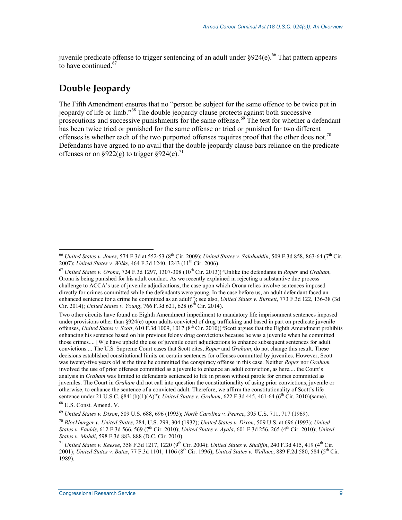juvenile predicate offense to trigger sentencing of an adult under  $8924(e)$ .<sup>66</sup> That pattern appears to have continued.<sup>67</sup>

### **Double Jeopardy**

The Fifth Amendment ensures that no "person be subject for the same offence to be twice put in jeopardy of life or limb."68 The double jeopardy clause protects against both successive prosecutions and successive punishments for the same offense.<sup>69</sup> The test for whether a defendant has been twice tried or punished for the same offense or tried or punished for two different offenses is whether each of the two purported offenses requires proof that the other does not.<sup>70</sup> Defendants have argued to no avail that the double jeopardy clause bars reliance on the predicate offenses or on  $\frac{922}{(g)}$  to trigger  $\frac{924}{(e)}$ .<sup>71</sup>

Two other circuits have found no Eighth Amendment impediment to mandatory life imprisonment sentences imposed under provisions other than §924(e) upon adults convicted of drug trafficking and based in part on predicate juvenile offenses, *United States v. Scott*, 610 F.3d 1009, 1017 (8<sup>th</sup> Cir. 2010)("Scott argues that the Eighth Amendment prohibits enhancing his sentence based on his previous felony drug convictions because he was a juvenile when he committed those crimes.... [W]e have upheld the use of juvenile court adjudications to enhance subsequent sentences for adult convictions.... The U.S. Supreme Court cases that Scott cites, *Roper* and *Graham*, do not change this result. These decisions established constitutional limits on certain sentences for offenses committed by juveniles. However, Scott was twenty-five years old at the time he committed the conspiracy offense in this case. Neither *Roper* nor *Graham* involved the use of prior offenses committed as a juvenile to enhance an adult conviction, as here.... the Court's analysis in *Graham* was limited to defendants sentenced to life in prison without parole for crimes committed as juveniles. The Court in *Graham* did not call into question the constitutionality of using prior convictions, juvenile or otherwise, to enhance the sentence of a convicted adult. Therefore, we affirm the constitutionality of Scott's life sentence under 21 U.S.C. §841(b)(1)(A)"); *United States v. Graham*, 622 F.3d 445, 461-64 (6<sup>th</sup> Cir. 2010)(same).

<sup>66</sup> *United States v. Jones*, 574 F.3d at 552-53 (8th Cir. 2009); *United States v. Salahuddin*, 509 F.3d 858, 863-64 (7th Cir. 2007); *United States v. Wilks*, 464 F.3d 1240, 1243 (11<sup>th</sup> Cir. 2006).

<sup>67</sup> *United States v. Orona*, 724 F.3d 1297, 1307-308 (10th Cir. 2013)("Unlike the defendants in *Roper* and *Graham*, Orona is being punished for his adult conduct. As we recently explained in rejecting a substantive due process challenge to ACCA's use of juvenile adjudications, the case upon which Orona relies involve sentences imposed directly for crimes committed while the defendants were young. In the case before us, an adult defendant faced an enhanced sentence for a crime he committed as an adult"); see also, *United States v. Burnett*, 773 F.3d 122, 136-38 (3d Cir. 2014); *United States v. Young*, 766 F.3d 621, 628 (6<sup>th</sup> Cir. 2014).

<sup>68</sup> U.S. Const. Amend. V.

<sup>69</sup> *United States v. Dixon*, 509 U.S. 688, 696 (1993); *North Carolina v. Pearce*, 395 U.S. 711, 717 (1969).

<sup>70</sup> *Blockburger v. United States*, 284, U.S. 299, 304 (1932); *United States v. Dixon*, 509 U.S. at 696 (1993); *United States v. Faulds*, 612 F.3d 566, 569 (7<sup>th</sup> Cir. 2010); *United States v. Ayala*, 601 F.3d 256, 265 (4<sup>th</sup> Cir. 2010); *United States v. Mahdi*, 598 F.3d 883, 888 (D.C. Cir. 2010).

<sup>&</sup>lt;sup>71</sup> *United States v. Keesee, 358 F.3d 1217, 1220* (9<sup>th</sup> Cir. 2004); *United States v. Studifin, 240 F.3d 415, 419* (4<sup>th</sup> Cir. 2001); *United States v. Bates*, 77 F.3d 1101, 1106 (8<sup>th</sup> Cir. 1996); *United States v. Wallace*, 889 F.2d 580, 584 (5<sup>th</sup> Cir. 1989).